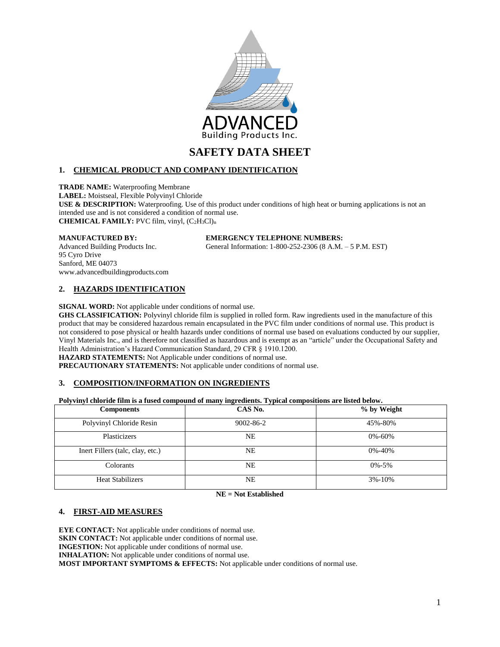

# **1. CHEMICAL PRODUCT AND COMPANY IDENTIFICATION**

**TRADE NAME:** Waterproofing Membrane **LABEL:** Moistseal, Flexible Polyvinyl Chloride **USE & DESCRIPTION:** Waterproofing. Use of this product under conditions of high heat or burning applications is not an intended use and is not considered a condition of normal use. **CHEMICAL FAMILY:** PVC film, vinyl, (C2H3Cl)<sup>n</sup>

#### **MANUFACTURED BY: EMERGENCY TELEPHONE NUMBERS:**

Advanced Building Products Inc. General Information: 1-800-252-2306 (8 A.M. – 5 P.M. EST)

95 Cyro Drive Sanford, ME 04073 www.advancedbuildingproducts.com

# **2. HAZARDS IDENTIFICATION**

**SIGNAL WORD:** Not applicable under conditions of normal use.

**GHS CLASSIFICATION:** Polyvinyl chloride film is supplied in rolled form. Raw ingredients used in the manufacture of this product that may be considered hazardous remain encapsulated in the PVC film under conditions of normal use. This product is not considered to pose physical or health hazards under conditions of normal use based on evaluations conducted by our supplier, Vinyl Materials Inc., and is therefore not classified as hazardous and is exempt as an "article" under the Occupational Safety and Health Administration's Hazard Communication Standard, 29 CFR § 1910.1200.

**HAZARD STATEMENTS:** Not Applicable under conditions of normal use.

**PRECAUTIONARY STATEMENTS:** Not applicable under conditions of normal use.

# **3. COMPOSITION/INFORMATION ON INGREDIENTS**

**Polyvinyl chloride film is a fused compound of many ingredients. Typical compositions are listed below.** 

| <b>Components</b>                | CAS No.         | % by Weight  |
|----------------------------------|-----------------|--------------|
| Polyvinyl Chloride Resin         | $9002 - 86 - 2$ | 45%-80%      |
| Plasticizers                     | NE              | $0\% - 60\%$ |
| Inert Fillers (talc, clay, etc.) | NE              | $0\% - 40\%$ |
| Colorants                        | NE              | $0\% - 5\%$  |
| <b>Heat Stabilizers</b>          | NE              | $3\% - 10\%$ |

**NE = Not Established**

# **4. FIRST-AID MEASURES**

**EYE CONTACT:** Not applicable under conditions of normal use. **SKIN CONTACT:** Not applicable under conditions of normal use. **INGESTION:** Not applicable under conditions of normal use. **INHALATION:** Not applicable under conditions of normal use. **MOST IMPORTANT SYMPTOMS & EFFECTS:** Not applicable under conditions of normal use.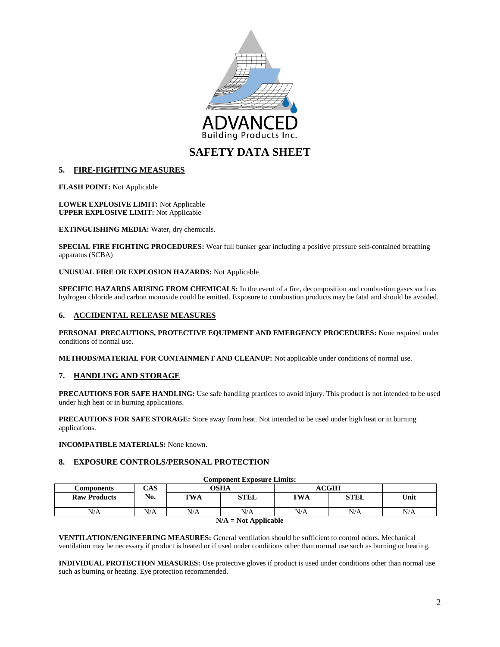

# **5. FIRE-FIGHTING MEASURES**

**FLASH POINT:** Not Applicable

**LOWER EXPLOSIVE LIMIT:** Not Applicable **UPPER EXPLOSIVE LIMIT:** Not Applicable

**EXTINGUISHING MEDIA:** Water, dry chemicals.

**SPECIAL FIRE FIGHTING PROCEDURES:** Wear full bunker gear including a positive pressure self-contained breathing apparatus (SCBA)

#### **UNUSUAL FIRE OR EXPLOSION HAZARDS:** Not Applicable

**SPECIFIC HAZARDS ARISING FROM CHEMICALS:** In the event of a fire, decomposition and combustion gases such as hydrogen chloride and carbon monoxide could be emitted. Exposure to combustion products may be fatal and should be avoided.

## **6. ACCIDENTAL RELEASE MEASURES**

**PERSONAL PRECAUTIONS, PROTECTIVE EQUIPMENT AND EMERGENCY PROCEDURES:** None required under conditions of normal use.

**METHODS/MATERIAL FOR CONTAINMENT AND CLEANUP:** Not applicable under conditions of normal use.

#### **7. HANDLING AND STORAGE**

**PRECAUTIONS FOR SAFE HANDLING:** Use safe handling practices to avoid injury. This product is not intended to be used under high heat or in burning applications.

**PRECAUTIONS FOR SAFE STORAGE:** Store away from heat. Not intended to be used under high heat or in burning applications.

**INCOMPATIBLE MATERIALS:** None known.

## **8. EXPOSURE CONTROLS/PERSONAL PROTECTION**

| <b>Component Exposure Limits:</b> |     |             |      |            |             |      |  |
|-----------------------------------|-----|-------------|------|------------|-------------|------|--|
| Components                        | CAS | <b>OSHA</b> |      | ACGIH      |             |      |  |
| <b>Raw Products</b>               | No. | <b>TWA</b>  | STEL | <b>TWA</b> | <b>STEL</b> | Unit |  |
| N/A                               | N/A | N/A         | N/A  | N/A        | N/A         | N/A  |  |
| $N/A = N_0 + A$ police black      |     |             |      |            |             |      |  |

#### **N/A = Not Applicable**

**VENTILATION/ENGINEERING MEASURES:** General ventilation should be sufficient to control odors. Mechanical ventilation may be necessary if product is heated or if used under conditions other than normal use such as burning or heating.

**INDIVIDUAL PROTECTION MEASURES:** Use protective gloves if product is used under conditions other than normal use such as burning or heating. Eye protection recommended.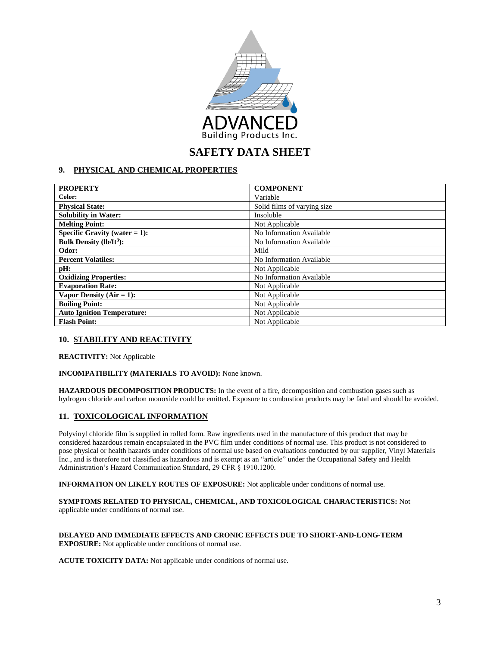

# **9. PHYSICAL AND CHEMICAL PROPERTIES**

| <b>PROPERTY</b>                          | <b>COMPONENT</b>            |
|------------------------------------------|-----------------------------|
| Color:                                   | Variable                    |
| <b>Physical State:</b>                   | Solid films of varying size |
| <b>Solubility in Water:</b>              | Insoluble                   |
| <b>Melting Point:</b>                    | Not Applicable              |
| Specific Gravity (water $= 1$ ):         | No Information Available    |
| <b>Bulk Density (lb/ft<sup>3</sup>):</b> | No Information Available    |
| Odor:                                    | Mild                        |
| <b>Percent Volatiles:</b>                | No Information Available    |
| pH:                                      | Not Applicable              |
| <b>Oxidizing Properties:</b>             | No Information Available    |
| <b>Evaporation Rate:</b>                 | Not Applicable              |
| Vapor Density ( $Air = 1$ ):             | Not Applicable              |
| <b>Boiling Point:</b>                    | Not Applicable              |
| <b>Auto Ignition Temperature:</b>        | Not Applicable              |
| <b>Flash Point:</b>                      | Not Applicable              |

# **10. STABILITY AND REACTIVITY**

**REACTIVITY:** Not Applicable

#### **INCOMPATIBILITY (MATERIALS TO AVOID):** None known.

**HAZARDOUS DECOMPOSITION PRODUCTS:** In the event of a fire, decomposition and combustion gases such as hydrogen chloride and carbon monoxide could be emitted. Exposure to combustion products may be fatal and should be avoided.

# **11. TOXICOLOGICAL INFORMATION**

Polyvinyl chloride film is supplied in rolled form. Raw ingredients used in the manufacture of this product that may be considered hazardous remain encapsulated in the PVC film under conditions of normal use. This product is not considered to pose physical or health hazards under conditions of normal use based on evaluations conducted by our supplier, Vinyl Materials Inc., and is therefore not classified as hazardous and is exempt as an "article" under the Occupational Safety and Health Administration's Hazard Communication Standard, 29 CFR § 1910.1200.

**INFORMATION ON LIKELY ROUTES OF EXPOSURE:** Not applicable under conditions of normal use.

**SYMPTOMS RELATED TO PHYSICAL, CHEMICAL, AND TOXICOLOGICAL CHARACTERISTICS:** Not applicable under conditions of normal use.

#### **DELAYED AND IMMEDIATE EFFECTS AND CRONIC EFFECTS DUE TO SHORT-AND-LONG-TERM EXPOSURE:** Not applicable under conditions of normal use.

**ACUTE TOXICITY DATA:** Not applicable under conditions of normal use.